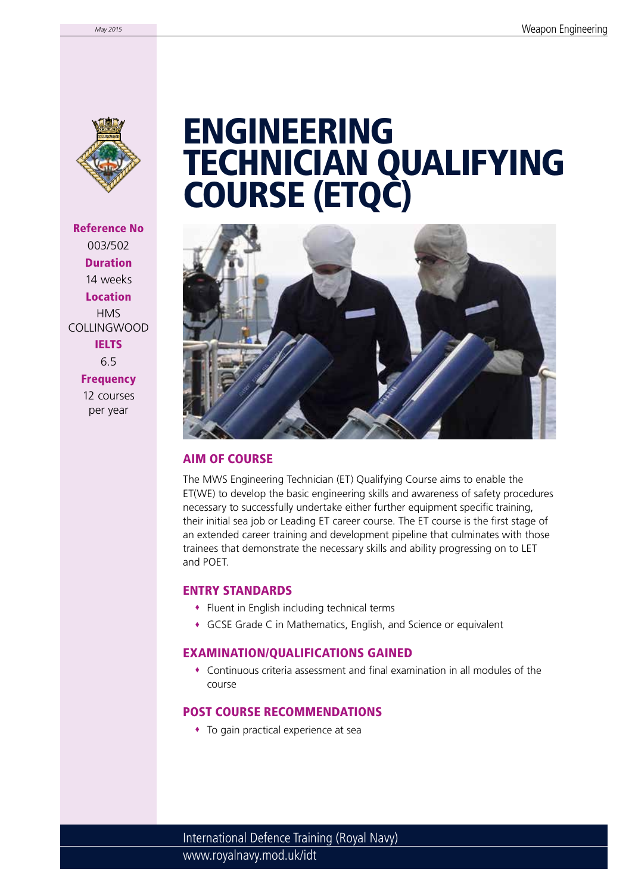

Reference No 003/502 Duration 14 weeks Location **HMS** COLLINGWOOD **IELTS** 6.5 **Frequency** 

> 12 courses per year

# ENGINEERING TECHNICIAN QUALIFYING COURSE (ETQC)



### AIM OF COURSE

The MWS Engineering Technician (ET) Qualifying Course aims to enable the ET(WE) to develop the basic engineering skills and awareness of safety procedures necessary to successfully undertake either further equipment specific training, their initial sea job or Leading ET career course. The ET course is the first stage of an extended career training and development pipeline that culminates with those trainees that demonstrate the necessary skills and ability progressing on to LET and POET.

#### ENTRY STANDARDS

- Fluent in English including technical terms
- GCSE Grade C in Mathematics, English, and Science or equivalent

#### EXAMINATION/QUALIFICATIONS GAINED

 Continuous criteria assessment and final examination in all modules of the course

### POST COURSE RECOMMENDATIONS

To gain practical experience at sea